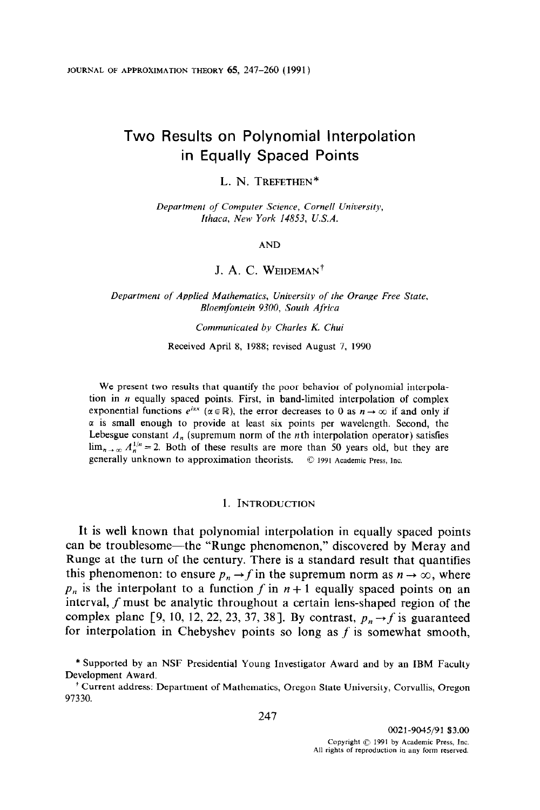# Two Results on Polynomial Interpolation in Equally Spaced Points

### L. N. TREFETHEN\*

Department of Computer Science, Cornell University, Ithaca, New York 14853, U.S.A.

#### AND

# J. A. C. WEIDEMAN<sup>†</sup>

Department of Applied Mathematics, University of the Orange Free State, Bloemfontein 9300, South Africa

#### Communicated by Charles K. Chui

Received April 8, 1988; revised August 7, 1990

We present two results that quantify the poor behavior of polynomial interpolation in  $n$  equally spaced points. First, in band-limited interpolation of complex exponential functions  $e^{i\alpha x}$  ( $\alpha \in \mathbb{R}$ ), the error decreases to 0 as  $n \to \infty$  if and only if  $\alpha$  is small enough to provide at least six points per wavelength. Second, the Lebesgue constant  $A_n$  (supremum norm of the *n*th interpolation operator) satisfies  $\lim_{n\to\infty} A_n^{1/n} = 2$ . Both of these results are more than 50 years old, but they are generally unknown to approximation theorists. © 1991 Academic Press, Inc.

### 1. INTRODUCTION

It is well known that polynomial interpolation in equally spaced points can be troublesome-the "Runge phenomenon," discovered by Meray and Runge at the turn of the century. There is a standard result that quantifies this phenomenon: to ensure  $p_n \to f$  in the supremum norm as  $n \to \infty$ , where  $p_n$  is the interpolant to a function f in  $n + 1$  equally spaced points on an interval, f must be analytic throughout a certain lens-shaped region of the complex plane [9, 10, 12, 22, 23, 37, 38]. By contrast,  $p_n \rightarrow f$  is guaranteed for interpolation in Chebyshev points so long as  $f$  is somewhat smooth,

<sup>\*</sup> Supported by an NSF Presidential Young Investigator Award and by an IBM Faculty Development Award.

<sup>&#</sup>x27; Current address: Department of Mathematics, Oregon State University, Corvallis, Oregon 97330.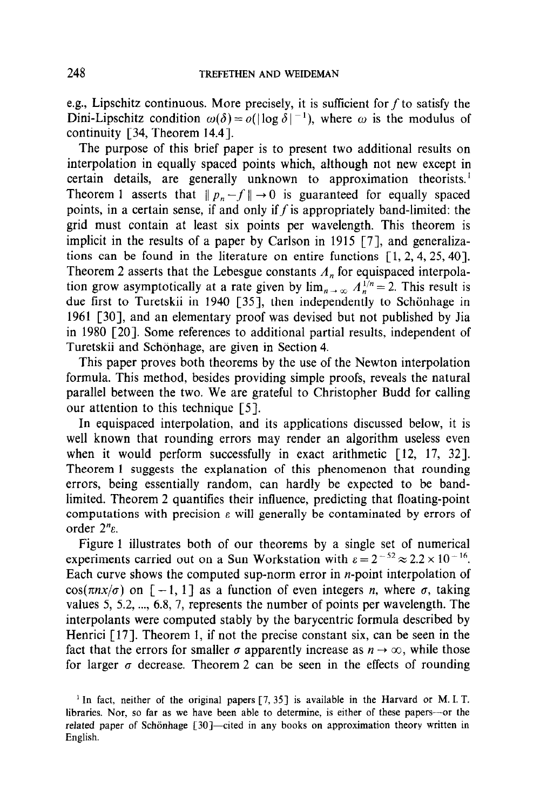e.g., Lipschitz continuous. More precisely, it is sufficient for  $f$  to satisfy the Dini-Lipschitz condition  $\omega(\delta) = o(|\log \delta|^{-1})$ , where  $\omega$  is the modulus of continuity  $[34,$  Theorem 14.4].

The purpose of this brief paper is to present two additional results on interpolation in equally spaced points which, although not new except in certain details, are generally unknown to approximation theorists.' Theorem 1 asserts that  $||p_n - f|| \to 0$  is guaranteed for equally spaced points, in a certain sense, if and only if  $f$  is appropriately band-limited: the grid must contain at least six points per wavelength. This theorem is implicit in the results of a paper by Carlson in 1915 [7], and generalizations can be found in the literature on entire functions  $\lceil 1, 2, 4, 25, 40 \rceil$ . Theorem 2 asserts that the Lebesgue constants  $A_n$  for equispaced interpolation grow asymptotically at a rate given by  $\lim_{n \to \infty} A_n^{1/n} = 2$ . This result is due first to Turetskii in 1940 [35], then independently to Schönhage in 1961 [30], and an elementary proof was devised but not published by Jia in 1980 [20]. Some references to additional partial results, independent of Turetskii and Schönhage, are given in Section 4.

This paper proves both theorems by the use of the Newton interpolation formula. This method, besides providing simple proofs, reveals the natural parallel between the two. We are grateful to Christopher Budd for calling our attention to this technique  $\lceil 5 \rceil$ .

In equispaced interpolation, and its applications discussed below, it is well known that rounding errors may render an algorithm useless even when it would perform successfully in exact arithmetic [12, 17, 32]. Theorem 1 suggests the explanation of this phenomenon that rounding errors, being essentially random, can hardly be expected to be bandlimited. Theorem 2 quantifies their influence, predicting that floating-point computations with precision  $\varepsilon$  will generally be contaminated by errors of order  $2^n$ e.

Figure 1 illustrates both of our theorems by a single set of numerical experiments carried out on a Sun Workstation with  $\varepsilon = 2^{-52} \approx 2.2 \times 10^{-16}$ . Each curve shows the computed sup-norm error in  $n$ -point interpolation of  $cos(\pi nx/\sigma)$  on  $[-1, 1]$  as a function of even integers *n*, where  $\sigma$ , taking values 5, 5.2,  $\dots$ , 6.8, 7, represents the number of points per wavelength. The interpolants were computed stably by the barycentric formula described by Henrici  $[17]$ . Theorem 1, if not the precise constant six, can be seen in the fact that the errors for smaller  $\sigma$  apparently increase as  $n \to \infty$ , while those for larger  $\sigma$  decrease. Theorem 2 can be seen in the effects of rounding

<sup>&</sup>lt;sup>1</sup> In fact, neither of the original papers  $[7, 35]$  is available in the Harvard or M.I.T. libraries. Nor, so far as we have been able to determine, is either of these papers----or the related paper of Schönhage [30]-cited in any books on approximation theory written in English.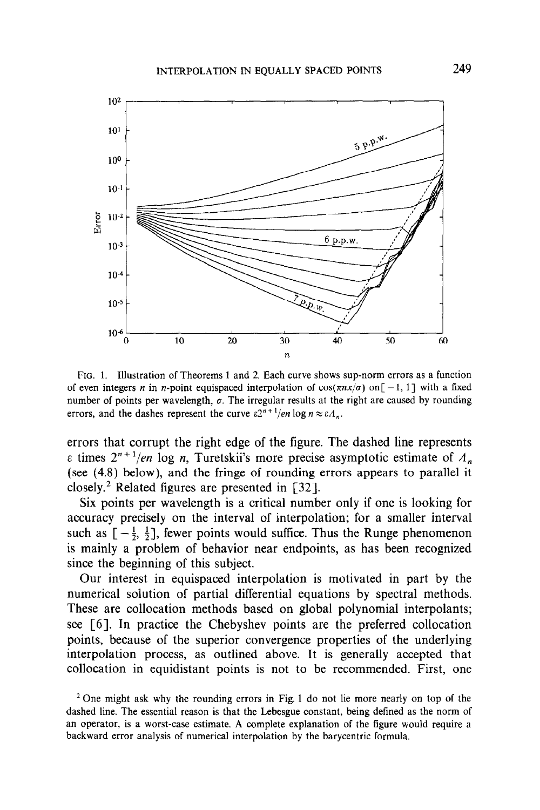

FIG. 1. Illustration of Theorems 1 and 2. Each curve shows sup-norm errors as a function of even integers n in n-point equispaced interpolation of  $cos(\pi nx/\sigma)$  on[-1, 1] with a fixed number of points per wavelength,  $\sigma$ . The irregular results at the right are caused by rounding errors, and the dashes represent the curve  $\varepsilon 2^{n+1}/en \log n \approx \varepsilon \Lambda_n$ .

errors that corrupt the right edge of the figure. The dashed line represents  $\varepsilon$  times  $2^{n+1}/en$  log *n*, Turetskii's more precise asymptotic estimate of  $\Lambda_n$ (see (4.8) below), and the fringe of rounding errors appears to parallel it closely.<sup>2</sup> Related figures are presented in [32].

Six points per wavelength is a critical number only if one is looking for accuracy precisely on the interval of interpolation; for a smaller interval such as  $[-\frac{1}{2}, \frac{1}{2}]$ , fewer points would suffice. Thus the Runge phenomenon is mainly a problem of behavior near endpoints, as has been recognized since the beginning of this subject.

Our interest in equispaced interpolation is motivated in part by the numerical solution of partial differential equations by spectral methods. These are collocation methods based on global polynomial interpolants; see [6]. In practice the Chebyshev points are the preferred collocation points, because of the superior convergence properties of the underlying interpolation process, as outlined above. It is generally accepted that collocation in equidistant points is not to be recommended. First, one

<sup>&</sup>lt;sup>2</sup> One might ask why the rounding errors in Fig. 1 do not lie more nearly on top of the dashed line. The essential reason is that the Lebesgue constant, being defined as the norm of an operator, is a worst-case estimate. A complete explanation of the figure would require a backward error analysis of numerical interpolation by the barycentric formula.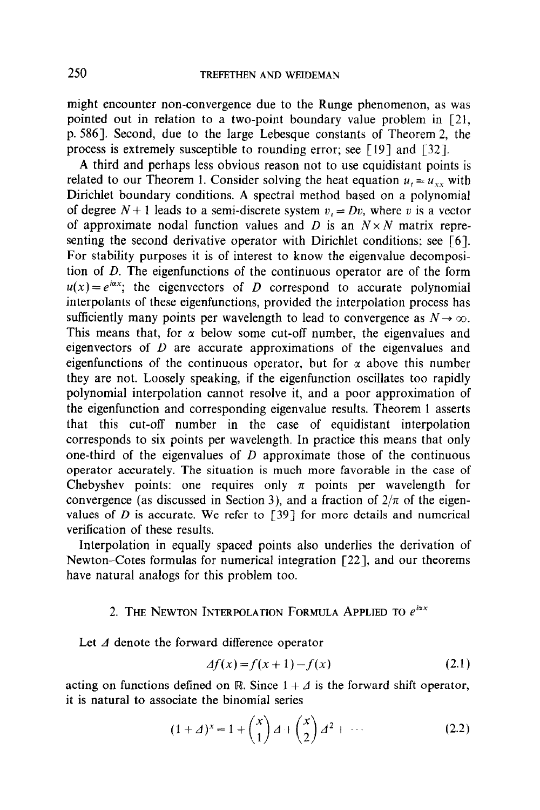might encounter non-convergence due to the Runge phenomenon, as was pointed out in relation to a two-point boundary value problem in [21, p. 5861. Second, due to the large Lebesque constants of Theorem 2, the process is extremely susceptible to rounding error; see [19] and [32].

A third and perhaps less obvious reason not to use equidistant points is related to our Theorem 1. Consider solving the heat equation  $u_t = u_{xx}$  with Dirichlet boundary conditions. A spectral method based on a polynomial of degree  $N+1$  leads to a semi-discrete system  $v_i = Dv$ , where v is a vector of approximate nodal function values and D is an  $N \times N$  matrix representing the second derivative operator with Dirichlet conditions; see [6]. For stability purposes it is of interest to know the eigenvalue decomposition of D. The eigenfunctions of the continuous operator are of the form  $u(x) = e^{i\alpha x}$ ; the eigenvectors of D correspond to accurate polynomial interpolants of these eigenfunctions, provided the interpolation process has sufficiently many points per wavelength to lead to convergence as  $N \to \infty$ . This means that, for  $\alpha$  below some cut-off number, the eigenvalues and eigenvectors of  $D$  are accurate approximations of the eigenvalues and eigenfunctions of the continuous operator, but for  $\alpha$  above this number they are not. Loosely speaking, if the eigenfunction oscillates too rapidly polynomial interpolation cannot resolve it, and a poor approximation of the eigenfunction and corresponding eigenvalue results. Theorem 1 asserts that this cut-off number in the case of equidistant interpolation corresponds to six points per wavelength. In practice this means that only one-third of the eigenvalues of  $D$  approximate those of the continuous operator accurately. The situation is much more favorable in the case of Chebyshev points: one requires only  $\pi$  points per wavelength for convergence (as discussed in Section 3), and a fraction of  $2/\pi$  of the eigenvalues of  $D$  is accurate. We refer to [39] for more details and numerical verification of these results.

Interpolation in equally spaced points also underlies the derivation of Newton-Cotes formulas for numerical integration [22], and our theorems have natural analogs for this problem too.

### 2. THE NEWTON INTERPOLATION FORMULA APPLIED TO  $e^{i\alpha x}$

Let  $\Delta$  denote the forward difference operator

$$
\Delta f(x) = f(x+1) - f(x) \tag{2.1}
$$

acting on functions defined on R. Since  $1 + A$  is the forward shift operator, it is natural to associate the binomial series

$$
(1 + \Delta)^{x} = 1 + {x \choose 1} \Delta + {x \choose 2} \Delta^{2} + \cdots
$$
 (2.2)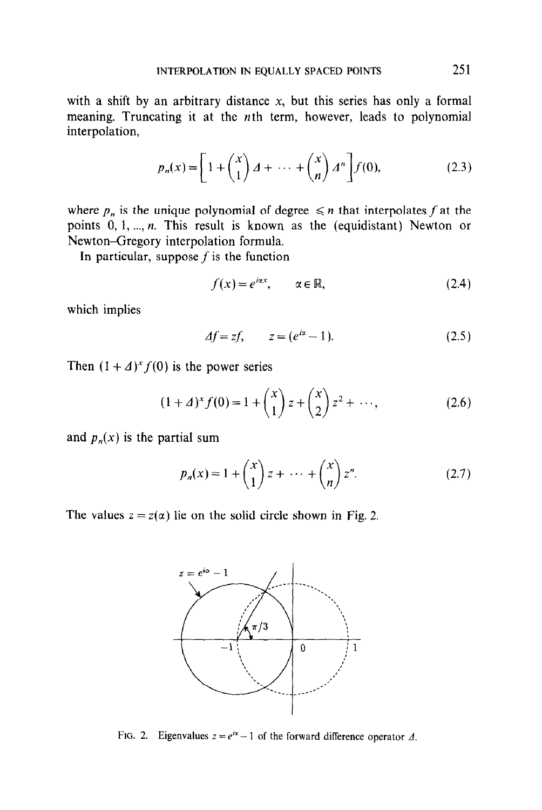with a shift by an arbitrary distance  $x$ , but this series has only a formal meaning. Truncating it at the nth term, however, leads to polynomial interpolation,

$$
p_n(x) = \left[1 + {x \choose 1} \, 1 + \, \cdots \, + {x \choose n} \, 1^n\right] f(0),\tag{2.3}
$$

where  $p_n$  is the unique polynomial of degree  $\leq n$  that interpolates f at the points  $0, 1, \ldots, n$ . This result is known as the (equidistant) Newton or Newton-Gregory interpolation formula.

In particular, suppose  $f$  is the function

$$
f(x) = e^{i\alpha x}, \qquad \alpha \in \mathbb{R}, \tag{2.4}
$$

which implies

$$
\Delta f = zf, \qquad z = (e^{i\alpha} - 1). \tag{2.5}
$$

Then  $(1 + \Delta)^{x} f(0)$  is the power series

$$
(1 + \Delta)^{x} f(0) = 1 + {x \choose 1} z + {x \choose 2} z^{2} + \cdots,
$$
 (2.6)

and  $p_n(x)$  is the partial sum

$$
p_n(x) = 1 + {x \choose 1} z + \dots + {x \choose n} z^n.
$$
 (2.7)

The values  $z = z(\alpha)$  lie on the solid circle shown in Fig. 2.



FIG. 2. Eigenvalues  $z = e^{i\alpha} - 1$  of the forward difference operator  $\Delta$ .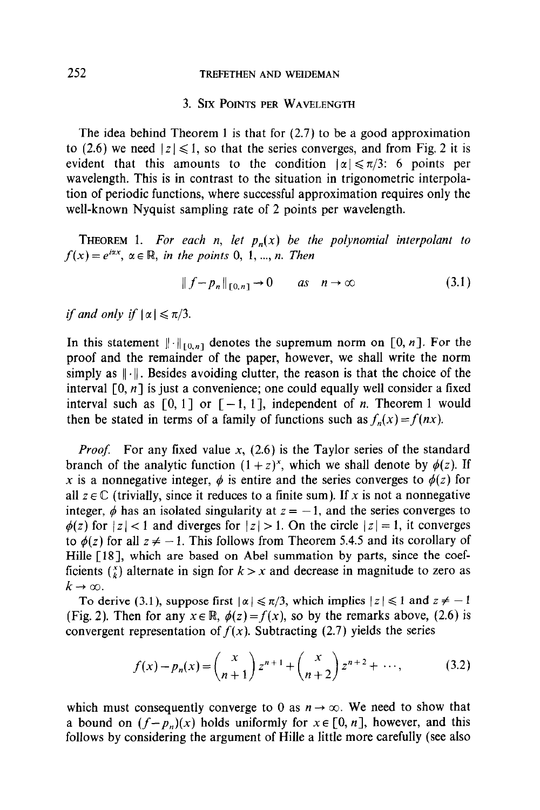# 252 TREFETHEN AND WEIDEMAN

# 3. SIX POINTS PER WAVELENGTH

The idea behind Theorem 1 is that for  $(2.7)$  to be a good approximation to (2.6) we need  $|z| \le 1$ , so that the series converges, and from Fig. 2 it is evident that this amounts to the condition  $|\alpha| \le \pi/3$ : 6 points per wavelength. This is in contrast to the situation in trigonometric interpolation of periodic functions, where successful approximation requires only the well-known Nyquist sampling rate of 2 points per wavelength.

THEOREM 1. For each n, let  $p_n(x)$  be the polynomial interpolant to  $f(x) = e^{i\alpha x}, \ \alpha \in \mathbb{R}, \text{ in the points } 0, 1, \dots, n. \text{ Then}$ 

$$
\|f - p_n\|_{[0,n]} \to 0 \qquad \text{as} \quad n \to \infty \tag{3.1}
$$

if and only if  $|\alpha| \leq \pi/3$ .

In this statement  $\|\cdot\|_{[0,n]}$  denotes the supremum norm on [0, n]. For the proof and the remainder of the paper, however, we shall write the norm simply as  $\|\cdot\|$ . Besides avoiding clutter, the reason is that the choice of the interval  $[0, n]$  is just a convenience; one could equally well consider a fixed interval such as  $[0, 1]$  or  $[-1, 1]$ , independent of *n*. Theorem 1 would then be stated in terms of a family of functions such as  $f_n(x) = f(nx)$ .

*Proof.* For any fixed value x,  $(2.6)$  is the Taylor series of the standard branch of the analytic function  $(1 + z)^{x}$ , which we shall denote by  $\phi(z)$ . If x is a nonnegative integer,  $\phi$  is entire and the series converges to  $\phi(z)$  for all  $z \in \mathbb{C}$  (trivially, since it reduces to a finite sum). If x is not a nonnegative integer,  $\phi$  has an isolated singularity at  $z = -1$ , and the series converges to  $\phi(z)$  for  $|z| < 1$  and diverges for  $|z| > 1$ . On the circle  $|z| = 1$ , it converges to  $\phi(z)$  for all  $z \neq -1$ . This follows from Theorem 5.4.5 and its corollary of Hille [18], which are based on Abel summation by parts, since the coefficients  $\binom{x}{k}$  alternate in sign for  $k > x$  and decrease in magnitude to zero as  $k\rightarrow\infty$ .

To derive (3.1), suppose first  $|\alpha| \le \pi/3$ , which implies  $|z| \le 1$  and  $z \ne -1$ (Fig. 2). Then for any  $x \in \mathbb{R}$ ,  $\phi(z) = f(x)$ , so by the remarks above, (2.6) is convergent representation of  $f(x)$ . Subtracting (2.7) yields the series

$$
f(x) - p_n(x) = {x \choose n+1} z^{n+1} + {x \choose n+2} z^{n+2} + \cdots,
$$
 (3.2)

which must consequently converge to 0 as  $n \to \infty$ . We need to show that a bound on  $(f-p_n)(x)$  holds uniformly for  $x \in [0, n]$ , however, and this follows by considering the argument of Hille a little more carefully (see also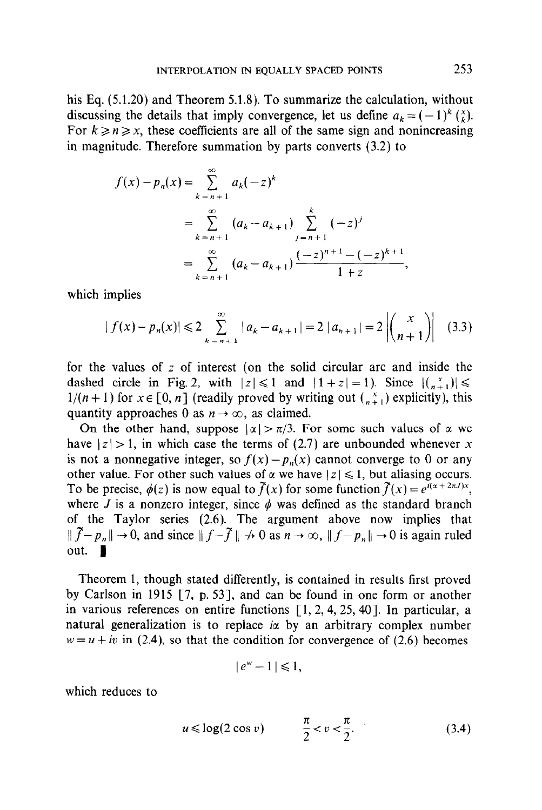his Eq. (5.1.20) and Theorem 5.1.8). To summarize the calculation, without discussing the details that imply convergence, let us define  $a_k = (-1)^k {x \choose k}$ . For  $k \ge n \ge x$ , these coefficients are all of the same sign and nonincreasing in magnitude. Therefore summation by parts converts (3.2) to

$$
f(x) - p_n(x) = \sum_{k=n+1}^{\infty} a_k(-z)^k
$$
  
= 
$$
\sum_{k=n+1}^{\infty} (a_k - a_{k+1}) \sum_{j=n+1}^{k} (-z)^j
$$
  
= 
$$
\sum_{k=n+1}^{\infty} (a_k - a_{k+1}) \frac{(-z)^{n+1} - (-z)^{k+1}}{1+z},
$$

which implies

$$
|f(x) - p_n(x)| \leq 2 \sum_{k=n+1}^{\infty} |a_k - a_{k+1}| = 2 |a_{n+1}| = 2 \left| {x \choose n+1} \right| \quad (3.3)
$$

for the values of z of interest (on the solid circular arc and inside the dashed circle in Fig. 2, with  $|z| \leq 1$  and  $|1 + z| = 1$ ). Since  $| \binom{x}{n+1} | \leq$  $1/(n + 1)$  for  $x \in [0, n]$  (readily proved by writing out  $\binom{x}{n+1}$  explicitly), this quantity approaches 0 as  $n \to \infty$ , as claimed.

On the other hand, suppose  $|\alpha| > \pi/3$ . For some such values of  $\alpha$  we have  $|z| > 1$ , in which case the terms of (2.7) are unbounded whenever x is not a nonnegative integer, so  $f(x) - p_n(x)$  cannot converge to 0 or any other value. For other such values of  $\alpha$  we have  $|z| \leq 1$ , but aliasing occurs. To be precise,  $\phi(z)$  is now equal to  $\tilde{f}(x)$  for some function  $\tilde{f}(x) = e^{i(x + 2\pi J)x}$ , where J is a nonzero integer, since  $\phi$  was defined as the standard branch of the Taylor series (2.6). The argument above now implies that  $|| \tilde{f}-p_n || \to 0$ , and since  $|| f-\tilde{f}|| \to 0$  as  $n \to \infty$ ,  $|| f-p_n || \to 0$  is again ruled out.  $\blacksquare$ 

Theorem 1, though stated differently, is contained in results first proved by Carlson in 1915 [7, p. 53], and can be found in one form or another in various references on entire functions  $\lceil 1, 2, 4, 25, 40 \rceil$ . In particular, a natural generalization is to replace ia by an arbitrary complex number  $w = u + iv$  in (2.4), so that the condition for convergence of (2.6) becomes

$$
|e^w - 1| \leq 1,
$$

which reduces to

$$
u \leq \log(2 \cos v) \qquad -\frac{\pi}{2} < v < \frac{\pi}{2}.\tag{3.4}
$$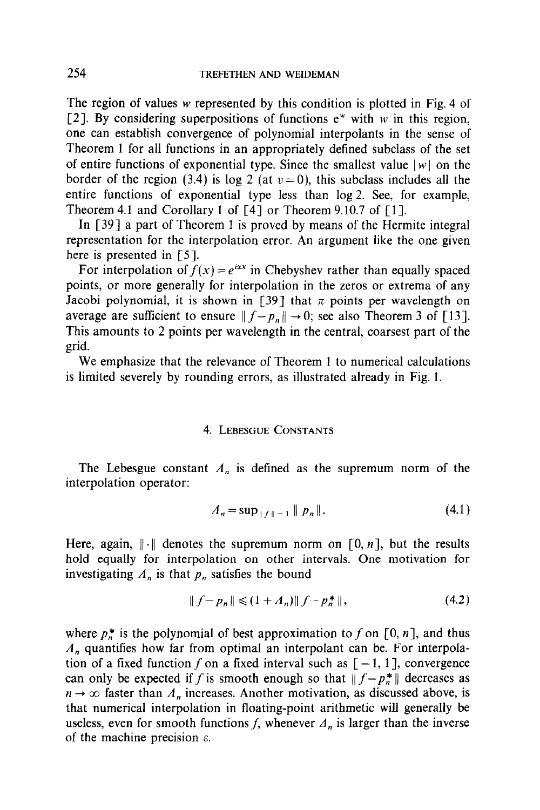The region of values w represented by this condition is plotted in Fig. 4 of [2]. By considering superpositions of functions  $e^w$  with w in this region, one can establish convergence of polynomial interpolants in the sense of Theorem 1 for all functions in an appropriately defined subclass of the set of entire functions of exponential type. Since the smallest value  $|w|$  on the border of the region (3.4) is log 2 (at  $v = 0$ ), this subclass includes all the entire functions of exponential type less than log 2. See, for example, Theorem 4.1 and Corollary 1 of [4] or Theorem 9.10.7 of [1].

In [39] a part of Theorem 1 is proved by means of the Hermite integral representation for the interpolation error. An argument like the one given here is presented in [5].

For interpolation of  $f(x) = e^{i\alpha x}$  in Chebyshev rather than equally spaced points, or more generally for interpolation in the zeros or extrema of any Jacobi polynomial, it is shown in [39] that  $\pi$  points per wavelength on average are sufficient to ensure  $|| f - p_n || \rightarrow 0$ ; see also Theorem 3 of [13]. This amounts to 2 points per wavelength in the central, coarsest part of the grid.

We emphasize that the relevance of Theorem 1 to numerical calculations is limited severely by rounding errors, as illustrated already in Fig. 1.

### 4. LEBESGUE CONSTANTS

The Lebesgue constant  $A_n$  is defined as the supremum norm of the interpolation operator:

$$
A_n = \sup_{\|f\| = 1} \|p_n\|.
$$
 (4.1)

Here, again,  $\|\cdot\|$  denotes the supremum norm on [0, *n*], but the results hold equally for interpolation on other intervals. One motivation for investigating  $A_n$  is that  $p_n$  satisfies the bound

$$
|| f - p_n || \leq (1 + A_n) || f - p_n^* ||,
$$
\n(4.2)

where  $p_n^*$  is the polynomial of best approximation to f on [0, n], and thus  $A_n$  quantifies how far from optimal an interpolant can be. For interpolation of a fixed function f on a fixed interval such as  $[-1, 1]$ , convergence can only be expected if f is smooth enough so that  $|| f - p_n^* ||$  decreases as  $n \to \infty$  faster than  $A_n$  increases. Another motivation, as discussed above, is that numerical interpolation in floating-point arithmetic will generally be useless, even for smooth functions f, whenever  $A_n$  is larger than the inverse of the machine precision  $\varepsilon$ .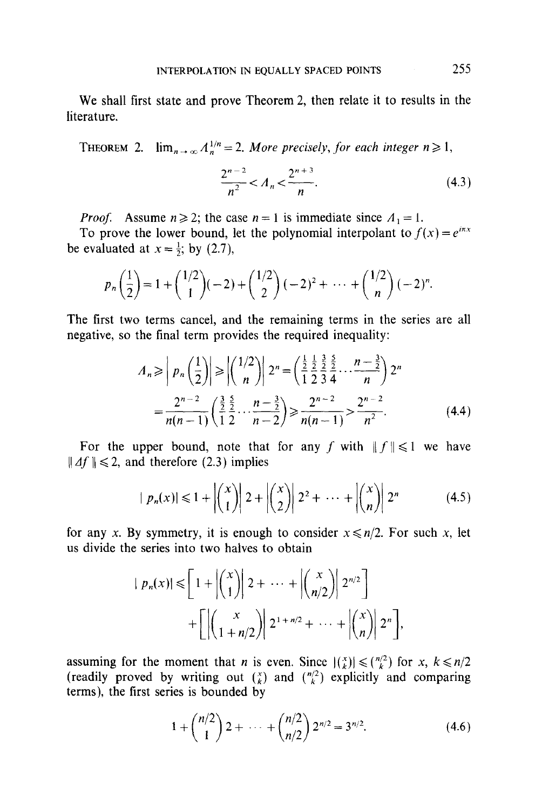We shall first state and prove Theorem 2, then relate it to results in the literature.

THEOREM 2.  $\lim_{n\to\infty} A_n^{1/n} = 2$ . More precisely, for each integer  $n \ge 1$ ,

$$
\frac{2^{n-2}}{n^2} < A_n < \frac{2^{n+3}}{n}.\tag{4.3}
$$

*Proof.* Assume  $n \ge 2$ ; the case  $n = 1$  is immediate since  $\Lambda_1 = 1$ .

To prove the lower bound, let the polynomial interpolant to  $f(x) = e^{i\pi x}$ be evaluated at  $x = \frac{1}{2}$ ; by (2.7),

$$
p_n\left(\frac{1}{2}\right)=1+\binom{1/2}{1}(-2)+\binom{1/2}{2}(-2)^2+\cdots+\binom{1/2}{n}(-2)^n.
$$

The first two terms cancel, and the remaining terms in the series are all negative, so the final term provides the required inequality:

$$
A_n \ge \left| p_n\left(\frac{1}{2}\right) \right| \ge \left| \left(\frac{1/2}{n}\right) \right| 2^n = \left(\frac{\frac{1}{2}}{1} \frac{\frac{1}{2}}{2} \frac{\frac{3}{2}}{2} \cdots \frac{n-\frac{3}{2}}{n}\right) 2^n
$$
  
= 
$$
\frac{2^{n-2}}{n(n-1)} \left(\frac{\frac{3}{2}}{1} \frac{\frac{5}{2}}{2} \cdots \frac{n-\frac{3}{2}}{n-2}\right) \ge \frac{2^{n-2}}{n(n-1)} > \frac{2^{n-2}}{n^2}.
$$
 (4.4)

For the upper bound, note that for any f with  $|| f || \le 1$  we have  $|| \Delta f || \leq 2$ , and therefore (2.3) implies

$$
|p_n(x)| \leq 1 + \left| \binom{x}{1} \right| 2 + \left| \binom{x}{2} \right| 2^2 + \dots + \left| \binom{x}{n} \right| 2^n \tag{4.5}
$$

for any x. By symmetry, it is enough to consider  $x \le n/2$ . For such x, let us divide the series into two halves to obtain

$$
| p_n(x) | \leqslant \left[ 1 + \left| \binom{x}{1} \right| 2 + \dots + \left| \binom{x}{n/2} \right| 2^{n/2} \right] + \left[ \left| \binom{x}{1+n/2} \right| 2^{1+n/2} + \dots + \left| \binom{x}{n} \right| 2^n \right],
$$

assuming for the moment that *n* is even. Since  $|{x \choose k}| \leq {n/2 \choose k}$  for *x*,  $k \leq n/2$ (readily proved by writing out  $\binom{x}{k}$  and  $\binom{n/2}{k}$  explicitly and comparing terms), the first series is bounded by

$$
1 + {n/2 \choose 1} 2 + \dots + {n/2 \choose n/2} 2^{n/2} = 3^{n/2}.
$$
 (4.6)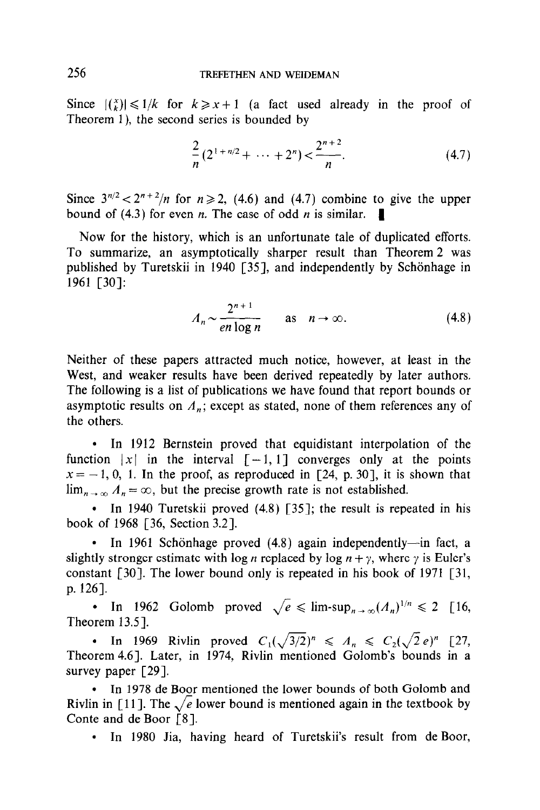Since  $| \binom{x}{k} | \leq 1/k$  for  $k \geq x+1$  (a fact used already in the proof of Theorem l), the second series is bounded by

$$
\frac{2}{n}(2^{1+n/2} + \dots + 2^n) < \frac{2^{n+2}}{n}.\tag{4.7}
$$

Since  $3^{n/2} < 2^{n+2}/n$  for  $n \ge 2$ , (4.6) and (4.7) combine to give the upper bound of (4.3) for even *n*. The case of odd *n* is similar.

Now for the history, which is an unfortunate tale of duplicated efforts. To summarize, an asymptotically sharper result than Theorem 2 was published by Turetskii in 1940 [35], and independently by Schönhage in 1961 [30]:

$$
A_n \sim \frac{2^{n+1}}{en \log n} \qquad \text{as} \quad n \to \infty. \tag{4.8}
$$

Neither of these papers attracted much notice, however, at least in the West, and weaker results have been derived repeatedly by later authors. The following is a list of publications we have found that report bounds or asymptotic results on  $A_n$ ; except as stated, none of them references any of the others.

• In 1912 Bernstein proved that equidistant interpolation of the function  $|x|$  in the interval  $[-1, 1]$  converges only at the points  $x = -1, 0, 1$ . In the proof, as reproduced in [24, p. 30], it is shown that  $\lim_{n \to \infty} A_n = \infty$ , but the precise growth rate is not established.

• In 1940 Turetskii proved  $(4.8)$  [35]; the result is repeated in his book of 1968 [36, Section 3.21.

• In 1961 Schönhage proved  $(4.8)$  again independently—in fact, a slightly stronger estimate with log *n* replaced by log  $n + \gamma$ , where  $\gamma$  is Euler's constant [30]. The lower bound only is repeated in his book of 1971 [31, p. 1261.

• In 1962 Golomb proved  $\sqrt{e} \leq \limsup_{n \to \infty} (A_n)^{1/n} \leq 2$  [16, Theorem  $13.5$ ].

• In 1969 Rivlin proved  $C_1(\sqrt{3}/2)^n \le A_n \le C_2(\sqrt{2}e)^n$  [27, Theorem 4.61. Later, in 1974, Rivlin mentioned Golomb's bounds in a survey paper [29].

• In 1978 de Boor mentioned the lower bounds of both Golomb and Rivlin in [11]. The  $\sqrt{e}$  lower bound is mentioned again in the textbook by Conte and de Boor [8].

• In 1980 Jia, having heard of Turetskii's result from de Boor,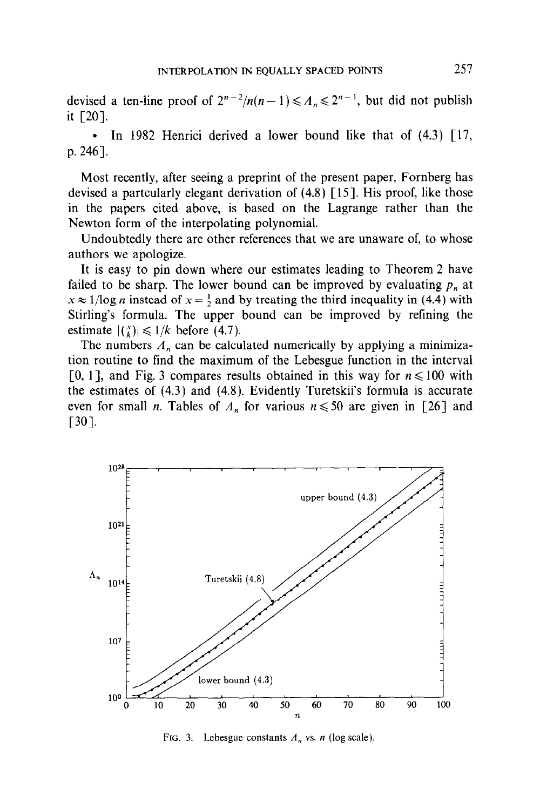devised a ten-line proof of  $2^{n-2}/n(n - 1) \leq A_n \leq 2^{n-1}$ , but did not publish it [20].

• In 1982 Henrici derived a lower bound like that of  $(4.3)$   $\lceil 17, \rceil$ p. 246].

Most recently, after seeing a preprint of the present paper, Fornberg has devised a partcularly elegant derivation of (4.8) [15]. His proof, like those in the papers cited above, is based on the Lagrange rather than the Newton form of the interpolating polynomial.

Undoubtedly there are other references that we are unaware of, to whose authors we apologize.

It is easy to pin down where our estimates leading to Theorem 2 have failed to be sharp. The lower bound can be improved by evaluating  $p_n$  at  $x \approx 1/\log n$  instead of  $x = \frac{1}{2}$  and by treating the third inequality in (4.4) with Stirling's formula. The upper bound can be improved by refining the estimate  $|(k)| \leq 1/k$  before (4.7).

The numbers  $A_n$  can be calculated numerically by applying a minimization routine to find the maximum of the Lebesgue function in the interval [0, 1], and Fig. 3 compares results obtained in this way for  $n \le 100$  with the estimates of (4.3) and (4.8). Evidently Turetskii's formula is accurate even for small *n*. Tables of  $A_n$  for various  $n \le 50$  are given in [26] and  $[30]$ .



FIG. 3. Lebesgue constants  $A_n$  vs. n (log scale).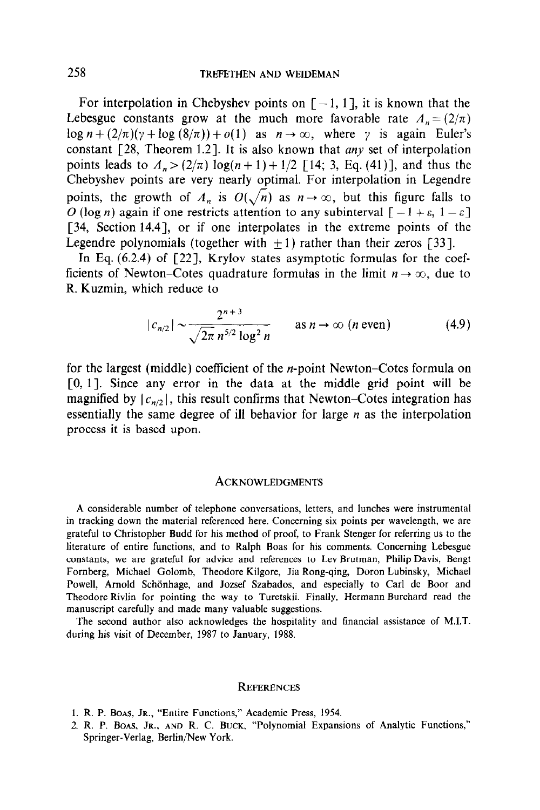For interpolation in Chebyshev points on  $[-1, 1]$ , it is known that the Lebesgue constants grow at the much more favorable rate  $A_n = (2/\pi)$  $\log n + (2/\pi)(\gamma + \log(8/\pi)) + o(1)$  as  $n \to \infty$ , where  $\gamma$  is again Euler's constant  $\lceil 28, \text{ Theorem 1.2} \rceil$ . It is also known that any set of interpolation points leads to  $A_n > (2/\pi) \log((n + 1) + 1/2)$  [14; 3, Eq. (41)], and thus the Chebyshev points are very nearly optimal. For interpolation in Legendre points, the growth of  $A_n$  is  $O(\sqrt{n})$  as  $n \to \infty$ , but this figure falls to O (log n) again if one restricts attention to any subinterval  $[-1 + \varepsilon, 1 - \varepsilon]$ [34, Section 14.4], or if one interpolates in the extreme points of the Legendre polynomials (together with  $+1$ ) rather than their zeros [33].

In Eq. (6.2.4) of [22], Krylov states asymptotic formulas for the coefficients of Newton-Cotes quadrature formulas in the limit  $n \to \infty$ , due to R. Kuzmin, which reduce to

$$
|c_{n/2}| \sim \frac{2^{n+3}}{\sqrt{2\pi} n^{5/2} \log^2 n} \qquad \text{as } n \to \infty \ (n \text{ even}) \tag{4.9}
$$

for the largest (middle) coefficient of the *n*-point Newton–Cotes formula on [0, 11. Since any error in the data at the middle grid point will be magnified by  $|c_{n/2}|$ , this result confirms that Newton–Cotes integration has essentially the same degree of ill behavior for large  $n$  as the interpolation process it is based upon.

#### ACKNOWLEDGMENTS

A considerable number of telephone conversations, letters, and lunches were instrumental in tracking down the material referenced here. Concerning six points per wavelength, we are grateful to Christopher Budd for his method of proof, to Frank Stenger for referring us to the literature of entire functions, and to Ralph Boas for his comments. Concerning Lebesgue constants, we are grateful for advice and references to Lev Brutman, Philip Davis, Bengt Fornberg, Michael Golomb, Theodore Kilgore, Jia Rong-qing, Doron Lubinsky, Michael Powell, Arnold Schönhage, and Jozsef Szabados, and especially to Carl de Boor and Theodore Rivlin for pointing the way to Turetskii. Finally, Hermann Burchard read the manuscript carefully and made many valuable suggestions.

The second author also acknowledges the hospitality and financial assistance of MIT. during his visit of December, 1987 to January, 1988.

### **REFERENCES**

- I. R. P. BOAS, JR., "Entire Functions," Academic Press, 1954.
- 2. R. P. BOAS, JR., AND R. C. BUCK, "Polynomial Expansions of Analytic Functions," Springer-Verlag, Berlin/New York.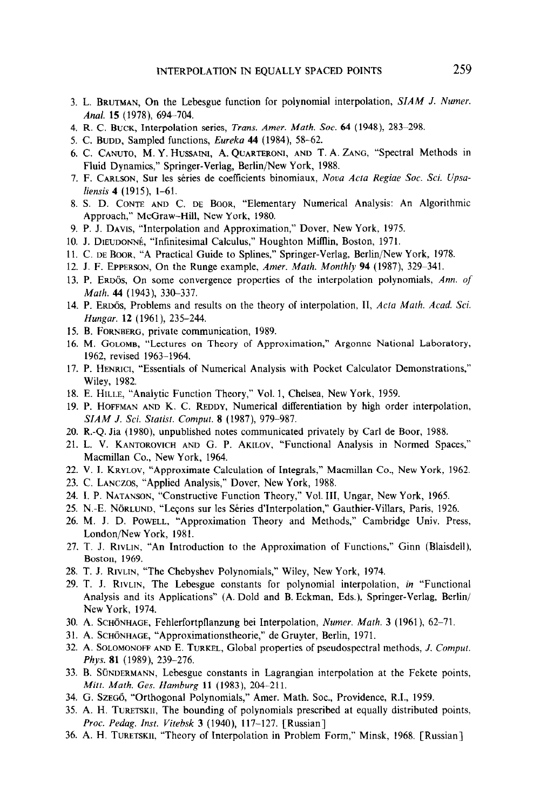- 3. L. BRUTMAN, On the Lebesgue function for polynomial interpolation, SIAM J. Numer. Anal. 15 (1978), 694-704.
- 4. R. C. BUCK, Interpolation series, Trans. Amer. Math. Soc. 64 (1948), 283-298.
- 5. C. BUDD, Sampled functions, Eureka  $44$  (1984), 58-62.
- 6. C. CANUTO, M. Y. HUSSAINI, A. QUARTERONI, AND T. A. ZANG, "Spectral Methods in Fluid Dynamics," Springer-Verlag, Berlin/New York, 1988.
- 7. F. CARLSON, Sur les séries de coefficients binomiaux, Nova Acta Regiae Soc. Sci. Upsaliensis 4 (1915), 1-61.
- 8. S. D. CONTE AND C. DE BOOR, "Elementary Numerical Analysis: An Algorithmic Approach," McGraw-Hill, New York, 1980.
- 9. P. J. DAVIS, "Interpolation and Approximation," Dover, New York, 1975.
- 10. J. DIEUDONNÉ, "Infinitesimal Calculus," Houghton Mifflin, Boston, 1971.
- 11. C. DE BOOR, "A Practical Guide to Splines," Springer-Verlag, Berlin/New York, 1978.
- 12. J. F. EPPERSON, On the Runge example, Amer. Math. Monthly 94 (1987), 329-341.
- 13. P. ERDÖS, On some convergence properties of the interpolation polynomials, Ann. of Math. 44 (1943), 330-337.
- 14. P. ERDÖS, Problems and results on the theory of interpolation, II, Acta Math. Acad. Sci. Hungar. 12 (1961), 235-244.
- 15. B. FORNBERG, private communication, 1989.
- 16. M. GOLOMB, "Lectures on Theory of Approximation," Argonne National Laboratory, 1962, revised 1963-1964.
- 17. P. HENRICI, "Essentials of Numerical Analysis with Pocket Calculator Demonstrations," Wiley, 1982.
- 18. E. HILLE, "Analytic Function Theory," Vol. 1, Chelsea, New York, 1959.
- 19. P. HOFFMAN AND K. C. REDDY, Numerical differentiation by high order interpolation, SIAM J. Sci. Statist. Comput. 8 (1987), 979-987.
- 20. R.-Q. Jia (1980), unpublished notes communicated privately by Carl de Boor, 1988.
- 21. L. V. KANTOROVICH AND G. P. AKILOV, "Functional Analysis in Normed Spaces," Macmillan Co., New York, 1964.
- 22. V. I. KRYLOV, "Approximate Calculation of Integrals," Macmillan Co., New York, 1962.
- 23. C. LANCZOS, "Applied Analysis," Dover, New York, 1988.
- 24. I. P. NATANSON, "Constructive Function Theory," Vol. III, Ungar, New York, 1965.
- 25. N.-E. Nörtund, "Lecons sur les Séries d'Interpolation," Gauthier-Villars, Paris, 1926.
- 26. M. J. D. POWELL, "Approximation Theory and Methods," Cambridge Univ. Press, London/New York, 1981.
- 27. T. J. RIVLIN, "An Introduction to the Approximation of Functions," Ginn (Blaisdell), Boston, 1969.
- 28. T. J. RIVLIN, "The Chebyshev Polynomials," Wiley, New York, 1974.
- 29. T. J. RIVLIN, The Lebesgue constants for polynomial interpolation, in "Functional Analysis and its Applications" (A. Dold and B. Eckman, Eds.), Springer-Verlag, Berlin/ New York, 1974.
- 30. A. SCHÖNHAGE, Fehlerfortpflanzung bei Interpolation, Numer. Math. 3 (1961), 62-71.
- 31. A. SCHÖNHAGE, "Approximationstheorie," de Gruyter, Berlin, 1971.
- 32. A. SOLOMONOFF AND E. TURKEL, Global properties of pseudospectral methods, J. Comput. Phys. 81 (1989), 239-276.
- 33. B. SÜNDERMANN, Lebesgue constants in Lagrangian interpolation at the Fekete points, Mitt. Math. Ges. Hamburg 11 (1983), 204-211.
- 34. G. Szegő, "Orthogonal Polynomials," Amer. Math. Soc., Providence, R.I., 1959.
- 35. A. H. TURETSKII, The bounding of polynomials prescribed at equally distributed points, Proc. Pedag. Inst. Vitebsk 3 (1940), 117-127. [Russian]
- 36. A. H. TURETSKII, "Theory of Interpolation in Problem Form," Minsk, 1968. [Russian]